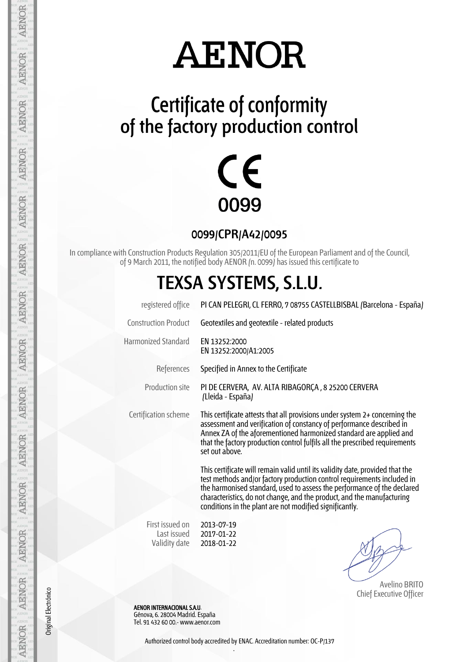## **AENOR**

### **Certificate of conformity of the factory production control**



**0099/CPR/A42/0095**

In compliance with Construction Products Regulation 305/2011/EU of the European Parliament and of the Council, of 9 March 2011, the notified body AENOR (n. 0099) has issued this certificate to

#### **TEXSA SYSTEMS, S.L.U.**

| registered office                               | PI CAN PELEGRI, CL FERRO, 7 08755 CASTELLBISBAL (Barcelona - España)                                                                                                                                                                                                                                                                                                     |
|-------------------------------------------------|--------------------------------------------------------------------------------------------------------------------------------------------------------------------------------------------------------------------------------------------------------------------------------------------------------------------------------------------------------------------------|
| <b>Construction Product</b>                     | Geotextiles and geotextile - related products                                                                                                                                                                                                                                                                                                                            |
| <b>Harmonized Standard</b>                      | FN 13252:2000<br>EN 13252:2000/A1:2005                                                                                                                                                                                                                                                                                                                                   |
| References                                      | Specified in Annex to the Certificate                                                                                                                                                                                                                                                                                                                                    |
| Production site                                 | PI DE CERVERA, AV. ALTA RIBAGORÇA, 8 25200 CERVERA<br>(Lleida - España)                                                                                                                                                                                                                                                                                                  |
| Certification scheme                            | This certificate attests that all provisions under system $2+$ concerning the<br>assessment and verification of constancy of performance described in<br>Annex ZA of the aforementioned harmonized standard are applied and<br>that the factory production control fulfils all the prescribed requirements<br>set out above.                                             |
|                                                 | This certificate will remain valid until its validity date, provided that the<br>test methods and/or factory production control requirements included in<br>the harmonised standard, used to assess the performance of the declared<br>characteristics, do not change, and the product, and the manufacturing<br>conditions in the plant are not modified significantly. |
| First issued on<br>Last issued<br>Validity date | 2013-07-19<br>2017-01-22<br>2018-01-22                                                                                                                                                                                                                                                                                                                                   |

 Avelino BRITO Chief Executive Officer

 AENOR INTERNACIONAL S.A.U. Génova, 6. 28004 Madrid. España Tel. 91 432 60 00.- www.aenor.com

AENOR

Original Electrónico

Authorized control body accredited by ENAC. Accreditation number: OC-P/137 .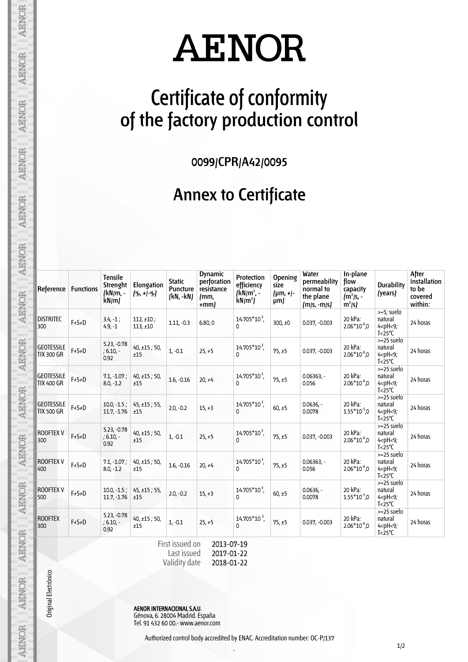# **AENOR**

### **Certificate of conformity of the factory production control**

**0099/CPR/A42/0095**

#### **Annex to Certificate**

| Reference                              | <b>Functions</b> | <b>Tensile</b><br>Strenght<br>(kN/m, -<br>kN/m | <b>Elongation</b><br>$($ %, + -%) | <b>Static</b><br><b>Puncture</b><br>(kN, -kN) | <b>Dynamic</b><br>perforation<br>resistance<br>mm,<br>$+mm$ | Protection<br>efficiency<br>$/kN/m^2$ .<br>$kN/m^2$ | Opening<br>size<br>${\mu m, +}$<br>$\mu$ m) | Water<br>permeability<br>normal to<br>the plane<br>$[m/s, -m/s]$ | In-plane<br>flow<br>capacity<br>$(m2/s, -$<br>$m^2/s$ | <b>Durability</b><br>(years)                                                      | After<br>installation<br>to be<br>covered<br>within: |
|----------------------------------------|------------------|------------------------------------------------|-----------------------------------|-----------------------------------------------|-------------------------------------------------------------|-----------------------------------------------------|---------------------------------------------|------------------------------------------------------------------|-------------------------------------------------------|-----------------------------------------------------------------------------------|------------------------------------------------------|
| <b>DISTRITEC</b><br>300                | $F+S+D$          | $3.4, -1;$<br>$4.9, -1$                        | $112, \pm 10$ ;<br>$113, \pm 10$  | $1.11, -0.3$                                  | 6.80,0                                                      | $14.705*10^3$ ,<br>$\Omega$                         | 300, $±0$                                   | $0.037, -0.003$                                                  | 20 kPa:<br>$2.06*10-6$ ,0                             | >=5; suelo<br>natural<br>$4$ <ph <9;<br=""><math>T &lt; 25^{\circ}C</math></ph>   | 24 horas                                             |
| <b>GEOTESSILE</b><br><b>TIX 300 GR</b> | $F+S+D$          | $5.23, -0.78$<br>$: 6.10 -$<br>0.92            | 40, ±15; 50,<br>±15               | $1, -0.1$                                     | $25, +5$                                                    | 14.705*10 <sup>3</sup> ,<br>$\Omega$                | 75, ±5                                      | $0.037, -0.003$                                                  | 20 kPa:<br>$2.06*10^{-6}$ ,0                          | $>=25$ suelo<br>natural<br>$4$ <ph <9;<br=""><math>T &lt; 25^{\circ}C</math></ph> | 24 horas                                             |
| <b>GEOTESSILE</b><br><b>TIX 400 GR</b> | $F+S+D$          | $7.1, -1.07$ ;<br>$8.0, -1.2$                  | $40, \pm 15$ ; 50,<br>±15         | $1.6, -0.16$                                  | $20, +4$                                                    | 14.705*10 <sup>3</sup> ,<br>$\Omega$                | 75, ±5                                      | $0.06363. -$<br>0.056                                            | 20 kPa:<br>$2.06*10^{-6}$ ,0                          | $>=25$ suelo<br>natural<br>$4$ <ph <9;<br=""><math>T &lt; 25^{\circ}C</math></ph> | 24 horas                                             |
| <b>GEOTESSILE</b><br><b>TIX 500 GR</b> | $F+S+D$          | $10.0, -1.5$ ;<br>$11.7, -1.76$                | 45, ±15; 55,<br>±15               | $2.0, -0.2$                                   | $15, +3$                                                    | 14.705*10 <sup>3</sup> ,<br>0                       | 60, ±5                                      | $0.0636,-$<br>0.0078                                             | 20 kPa:<br>$1.55*10^{-5}$ ,0                          | $>=25$ suelo<br>natural<br>$4$ <ph <9;<br=""><math>T &lt; 25^{\circ}C</math></ph> | 24 horas                                             |
| <b>ROOFTEX V</b><br>300                | $F+S+D$          | $5.23, -0.78$<br>$: 6.10 -$<br>0.92            | $40, \pm 15$ ; 50,<br>±15         | $1, -0.1$                                     | $25, +5$                                                    | 14.705*10 <sup>3</sup> ,<br>$\Omega$                | 75, ±5                                      | $0.037, -0.003$                                                  | 20 kPa:<br>$2.06*10-6$ ,0                             | $>=25$ suelo<br>natural<br>$4$ <ph <9;<br=""><math>T &lt; 25^{\circ}C</math></ph> | 24 horas                                             |
| <b>ROOFTEX V</b><br>400                | $F+S+D$          | $7.1, -1.07$ ;<br>$8.0, -1.2$                  | $40, \pm 15$ ; 50,<br>±15         | $1.6, -0.16$                                  | $20. +4$                                                    | 14.705*10 <sup>3</sup> ,<br>$\Omega$                | 75, ±5                                      | $0.06363. -$<br>0.056                                            | 20 kPa:<br>$2.06*10^{-6}$ ,0                          | $>=25$ suelo<br>natural<br>$4$ <ph <9;<br=""><math>T &lt; 25^{\circ}C</math></ph> | 24 horas                                             |
| <b>ROOFTEX V</b><br>500                | $F+S+D$          | $10.0, -1.5;$<br>$11.7, -1.76$                 | 45, ±15; 55,<br>±15               | $2.0, -0.2$                                   | $15, +3$                                                    | 14.705*10 <sup>3</sup> ,<br>$\Omega$                | 60, ±5                                      | $0.0636,-$<br>0.0078                                             | 20 kPa:<br>$1.55*10^{-5}$ ,0                          | $>=25$ suelo<br>natural<br>$4$ <ph <9;<br=""><math>T &lt; 25^{\circ}C</math></ph> | 24 horas                                             |
| <b>ROOFTEX</b><br>300                  | $F+S+D$          | $5.23, -0.78$<br>$; 6.10, -$<br>0.92           | $40, \pm 15$ ; 50,<br>±15         | $1, -0.1$                                     | $25, +5$                                                    | 14.705*10 <sup>3</sup> ,<br>0                       | 75, ±5                                      | $0.037, -0.003$                                                  | 20 kPa:<br>$2.06*10-6$ ,0                             | $>=25$ suelo<br>natural<br>$4$ <ph <9;<br=""><math>T &lt; 25^{\circ}C</math></ph> | 24 horas                                             |

Last issued Validity date 2017-01-22 2018-01-22

Original Electrónico

AENOR

**AENOR** 

**AENOR** 

**AENOR** 

**AENOR** 

**AENOR** 

**AENOR** 

AENOR

AENOR AENOR AENOR AENOR AENOR AENOR AENOR

AENOR INTERNACIONAL S.A.U. Génova, 6. 28004 Madrid. España Tel. 91 432 60 00.- www.aenor.com

.